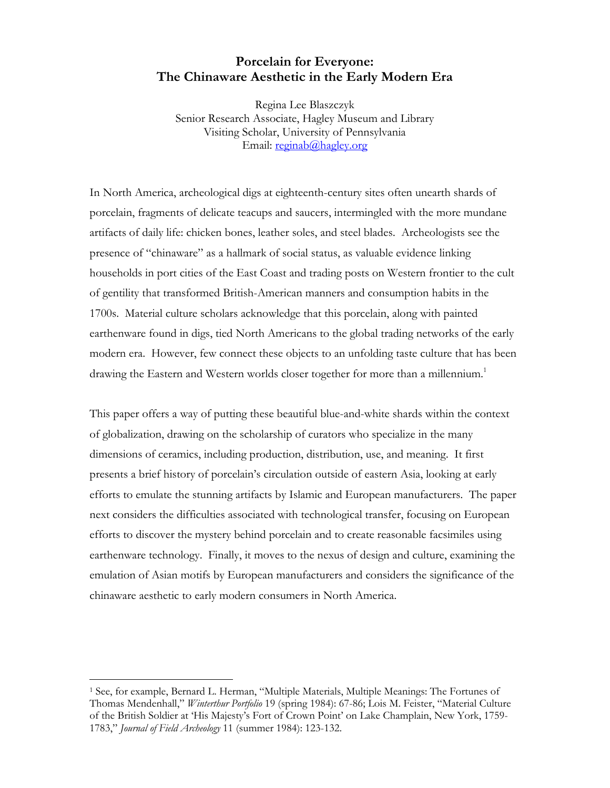# **Porcelain for Everyone: The Chinaware Aesthetic in the Early Modern Era**

Regina Lee Blaszczyk Senior Research Associate, Hagley Museum and Library Visiting Scholar, University of Pennsylvania Email: [reginab@hagley.org](mailto:reginab@hagley.org)

In North America, archeological digs at eighteenth-century sites often unearth shards of porcelain, fragments of delicate teacups and saucers, intermingled with the more mundane artifacts of daily life: chicken bones, leather soles, and steel blades. Archeologists see the presence of "chinaware" as a hallmark of social status, as valuable evidence linking households in port cities of the East Coast and trading posts on Western frontier to the cult of gentility that transformed British-American manners and consumption habits in the 1700s. Material culture scholars acknowledge that this porcelain, along with painted earthenware found in digs, tied North Americans to the global trading networks of the early modern era. However, few connect these objects to an unfolding taste culture that has been drawing the Eastern and Western worlds closer together for more than a millennium.<sup>[1](#page-0-0)</sup>

This paper offers a way of putting these beautiful blue-and-white shards within the context of globalization, drawing on the scholarship of curators who specialize in the many dimensions of ceramics, including production, distribution, use, and meaning. It first presents a brief history of porcelain's circulation outside of eastern Asia, looking at early efforts to emulate the stunning artifacts by Islamic and European manufacturers. The paper next considers the difficulties associated with technological transfer, focusing on European efforts to discover the mystery behind porcelain and to create reasonable facsimiles using earthenware technology. Finally, it moves to the nexus of design and culture, examining the emulation of Asian motifs by European manufacturers and considers the significance of the chinaware aesthetic to early modern consumers in North America.

<span id="page-0-0"></span><sup>1</sup> See, for example, Bernard L. Herman, "Multiple Materials, Multiple Meanings: The Fortunes of Thomas Mendenhall," *Winterthur Portfolio* 19 (spring 1984): 67-86; Lois M. Feister, "Material Culture of the British Soldier at 'His Majesty's Fort of Crown Point' on Lake Champlain, New York, 1759- 1783," *Journal of Field Archeology* 11 (summer 1984): 123-132.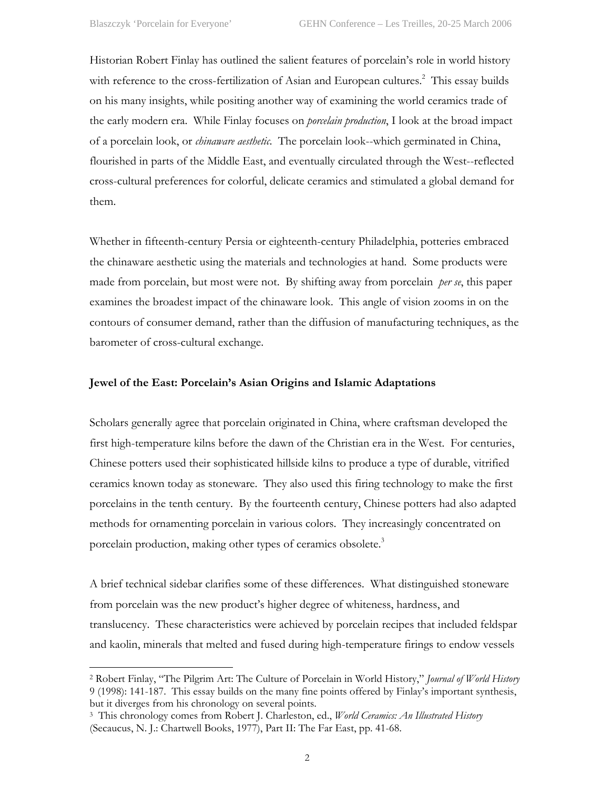<u>.</u>

Historian Robert Finlay has outlined the salient features of porcelain's role in world history with reference to the cross-fertilization of Asian and European cultures.<sup>[2](#page-1-0)</sup> This essay builds on his many insights, while positing another way of examining the world ceramics trade of the early modern era. While Finlay focuses on *porcelain production*, I look at the broad impact of a porcelain look, or *chinaware aesthetic*. The porcelain look--which germinated in China, flourished in parts of the Middle East, and eventually circulated through the West--reflected cross-cultural preferences for colorful, delicate ceramics and stimulated a global demand for them.

Whether in fifteenth-century Persia or eighteenth-century Philadelphia, potteries embraced the chinaware aesthetic using the materials and technologies at hand. Some products were made from porcelain, but most were not. By shifting away from porcelain *per se*, this paper examines the broadest impact of the chinaware look. This angle of vision zooms in on the contours of consumer demand, rather than the diffusion of manufacturing techniques, as the barometer of cross-cultural exchange.

# **Jewel of the East: Porcelain's Asian Origins and Islamic Adaptations**

Scholars generally agree that porcelain originated in China, where craftsman developed the first high-temperature kilns before the dawn of the Christian era in the West. For centuries, Chinese potters used their sophisticated hillside kilns to produce a type of durable, vitrified ceramics known today as stoneware. They also used this firing technology to make the first porcelains in the tenth century. By the fourteenth century, Chinese potters had also adapted methods for ornamenting porcelain in various colors. They increasingly concentrated on porcelain production, making other types of ceramics obsolete.<sup>[3](#page-1-1)</sup>

A brief technical sidebar clarifies some of these differences. What distinguished stoneware from porcelain was the new product's higher degree of whiteness, hardness, and translucency. These characteristics were achieved by porcelain recipes that included feldspar and kaolin, minerals that melted and fused during high-temperature firings to endow vessels

<span id="page-1-0"></span><sup>2</sup> Robert Finlay, "The Pilgrim Art: The Culture of Porcelain in World History," *Journal of World History* 9 (1998): 141-187. This essay builds on the many fine points offered by Finlay's important synthesis, but it diverges from his chronology on several points.

<span id="page-1-1"></span><sup>3</sup> This chronology comes from Robert J. Charleston, ed., *World Ceramics: An Illustrated History* (Secaucus, N. J.: Chartwell Books, 1977), Part II: The Far East, pp. 41-68.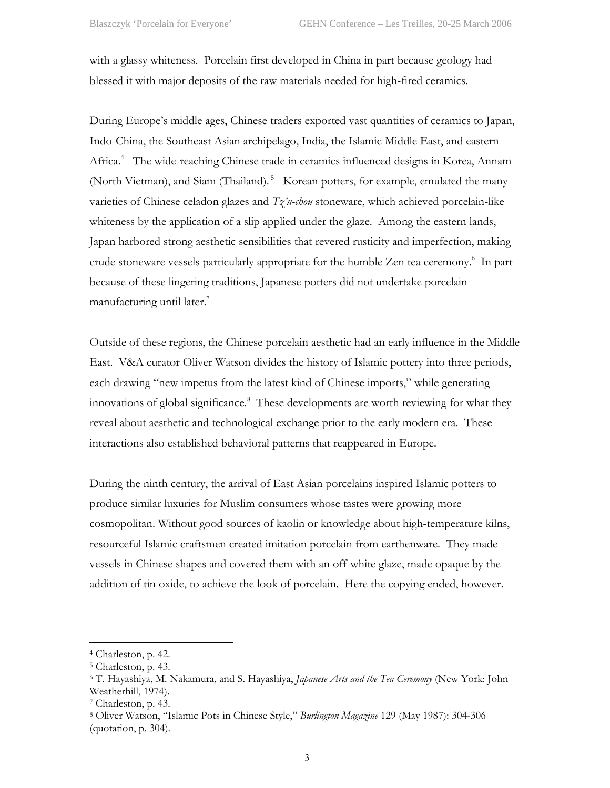with a glassy whiteness. Porcelain first developed in China in part because geology had blessed it with major deposits of the raw materials needed for high-fired ceramics.

During Europe's middle ages, Chinese traders exported vast quantities of ceramics to Japan, Indo-China, the Southeast Asian archipelago, India, the Islamic Middle East, and eastern Africa.<sup>4</sup> The wide-reaching Chinese trade in ceramics influenced designs in Korea, Annam (North Vietman), and Siam (Thailand).<sup>5</sup> Korean potters, for example, emulated the many varieties of Chinese celadon glazes and *Tz'u-chou* stoneware, which achieved porcelain-like whiteness by the application of a slip applied under the glaze. Among the eastern lands, Japan harbored strong aesthetic sensibilities that revered rusticity and imperfection, making crude stoneware vessels particularly appropriate for the humble Zen tea ceremony.<sup>[6](#page-2-2)</sup> In part because of these lingering traditions, Japanese potters did not undertake porcelain manufacturing until later. $<sup>7</sup>$  $<sup>7</sup>$  $<sup>7</sup>$ </sup>

Outside of these regions, the Chinese porcelain aesthetic had an early influence in the Middle East. V&A curator Oliver Watson divides the history of Islamic pottery into three periods, each drawing "new impetus from the latest kind of Chinese imports," while generating innovations of global significance.<sup>8</sup> These developments are worth reviewing for what they reveal about aesthetic and technological exchange prior to the early modern era. These interactions also established behavioral patterns that reappeared in Europe.

During the ninth century, the arrival of East Asian porcelains inspired Islamic potters to produce similar luxuries for Muslim consumers whose tastes were growing more cosmopolitan. Without good sources of kaolin or knowledge about high-temperature kilns, resourceful Islamic craftsmen created imitation porcelain from earthenware. They made vessels in Chinese shapes and covered them with an off-white glaze, made opaque by the addition of tin oxide, to achieve the look of porcelain. Here the copying ended, however.

<u>.</u>

<span id="page-2-0"></span><sup>4</sup> Charleston, p. 42.

<span id="page-2-1"></span><sup>5</sup> Charleston, p. 43.

<span id="page-2-2"></span><sup>6</sup> T. Hayashiya, M. Nakamura, and S. Hayashiya, *Japanese Arts and the Tea Ceremony* (New York: John Weatherhill, 1974).<br>7 Charleston, p. 43.

<span id="page-2-3"></span>

<span id="page-2-4"></span><sup>8</sup> Oliver Watson, "Islamic Pots in Chinese Style," *Burlington Magazine* 129 (May 1987): 304-306 (quotation, p. 304).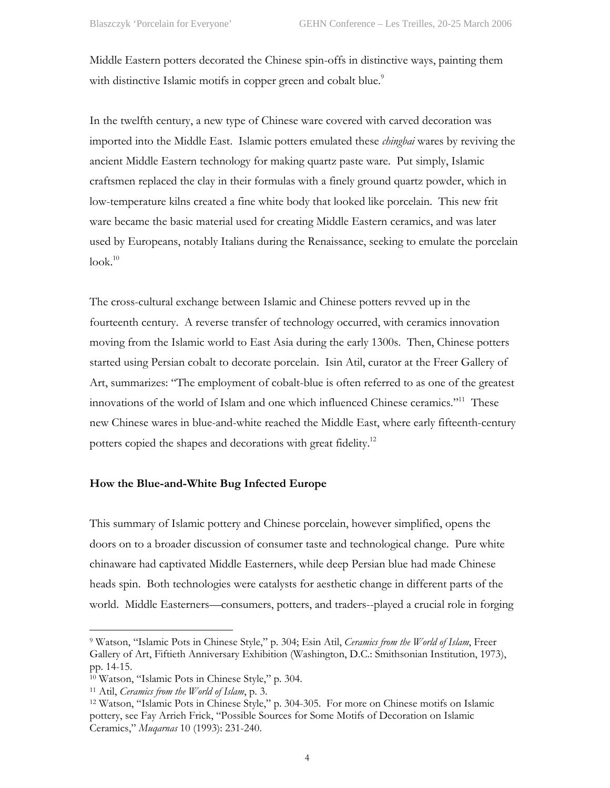Middle Eastern potters decorated the Chinese spin-offs in distinctive ways, painting them with distinctive Islamic motifs in copper green and cobalt blue.<sup>[9](#page-3-0)</sup>

In the twelfth century, a new type of Chinese ware covered with carved decoration was imported into the Middle East. Islamic potters emulated these *chingbai* wares by reviving the ancient Middle Eastern technology for making quartz paste ware. Put simply, Islamic craftsmen replaced the clay in their formulas with a finely ground quartz powder, which in low-temperature kilns created a fine white body that looked like porcelain. This new frit ware became the basic material used for creating Middle Eastern ceramics, and was later used by Europeans, notably Italians during the Renaissance, seeking to emulate the porcelain  $look.<sup>10</sup>$ 

The cross-cultural exchange between Islamic and Chinese potters revved up in the fourteenth century. A reverse transfer of technology occurred, with ceramics innovation moving from the Islamic world to East Asia during the early 1300s. Then, Chinese potters started using Persian cobalt to decorate porcelain. Isin Atil, curator at the Freer Gallery of Art, summarizes: "The employment of cobalt-blue is often referred to as one of the greatest innovations of the world of Islam and one which influenced Chinese ceramics."[11](#page-3-2) These new Chinese wares in blue-and-white reached the Middle East, where early fifteenth-century potters copied the shapes and decorations with great fidelity.<sup>12</sup>

## **How the Blue-and-White Bug Infected Europe**

This summary of Islamic pottery and Chinese porcelain, however simplified, opens the doors on to a broader discussion of consumer taste and technological change. Pure white chinaware had captivated Middle Easterners, while deep Persian blue had made Chinese heads spin. Both technologies were catalysts for aesthetic change in different parts of the world. Middle Easterners—consumers, potters, and traders--played a crucial role in forging

<u>.</u>

<span id="page-3-0"></span><sup>9</sup> Watson, "Islamic Pots in Chinese Style," p. 304; Esin Atil, *Ceramics from the World of Islam*, Freer Gallery of Art, Fiftieth Anniversary Exhibition (Washington, D.C.: Smithsonian Institution, 1973), pp. 14-15.

<span id="page-3-3"></span><span id="page-3-2"></span>

<span id="page-3-1"></span><sup>&</sup>lt;sup>10</sup> Watson, "Islamic Pots in Chinese Style," p. 304.<br><sup>11</sup> Atil, *Ceramics from the World of Islam*, p. 3.<br><sup>12</sup> Watson, "Islamic Pots in Chinese Style," p. 304-305. For more on Chinese motifs on Islamic pottery, see Fay Arrieh Frick, "Possible Sources for Some Motifs of Decoration on Islamic Ceramics," *Muqarnas* 10 (1993): 231-240.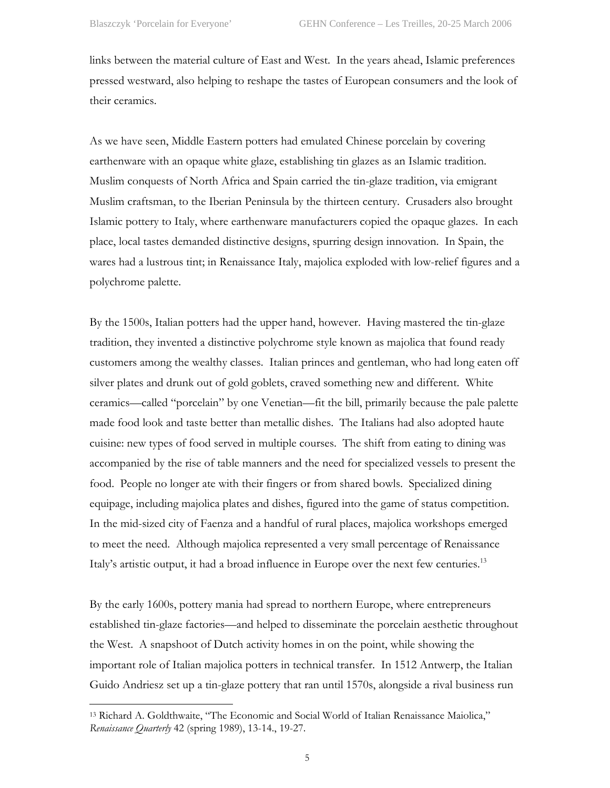links between the material culture of East and West. In the years ahead, Islamic preferences pressed westward, also helping to reshape the tastes of European consumers and the look of their ceramics.

As we have seen, Middle Eastern potters had emulated Chinese porcelain by covering earthenware with an opaque white glaze, establishing tin glazes as an Islamic tradition. Muslim conquests of North Africa and Spain carried the tin-glaze tradition, via emigrant Muslim craftsman, to the Iberian Peninsula by the thirteen century. Crusaders also brought Islamic pottery to Italy, where earthenware manufacturers copied the opaque glazes. In each place, local tastes demanded distinctive designs, spurring design innovation. In Spain, the wares had a lustrous tint; in Renaissance Italy, majolica exploded with low-relief figures and a polychrome palette.

By the 1500s, Italian potters had the upper hand, however. Having mastered the tin-glaze tradition, they invented a distinctive polychrome style known as majolica that found ready customers among the wealthy classes. Italian princes and gentleman, who had long eaten off silver plates and drunk out of gold goblets, craved something new and different. White ceramics—called "porcelain" by one Venetian—fit the bill, primarily because the pale palette made food look and taste better than metallic dishes. The Italians had also adopted haute cuisine: new types of food served in multiple courses. The shift from eating to dining was accompanied by the rise of table manners and the need for specialized vessels to present the food. People no longer ate with their fingers or from shared bowls. Specialized dining equipage, including majolica plates and dishes, figured into the game of status competition. In the mid-sized city of Faenza and a handful of rural places, majolica workshops emerged to meet the need. Although majolica represented a very small percentage of Renaissance Italy's artistic output, it had a broad influence in Europe over the next few centuries.<sup>13</sup>

By the early 1600s, pottery mania had spread to northern Europe, where entrepreneurs established tin-glaze factories—and helped to disseminate the porcelain aesthetic throughout the West. A snapshoot of Dutch activity homes in on the point, while showing the important role of Italian majolica potters in technical transfer. In 1512 Antwerp, the Italian Guido Andriesz set up a tin-glaze pottery that ran until 1570s, alongside a rival business run

<span id="page-4-0"></span><sup>13</sup> Richard A. Goldthwaite, "The Economic and Social World of Italian Renaissance Maiolica," *Renaissance Quarterly* 42 (spring 1989), 13-14., 19-27.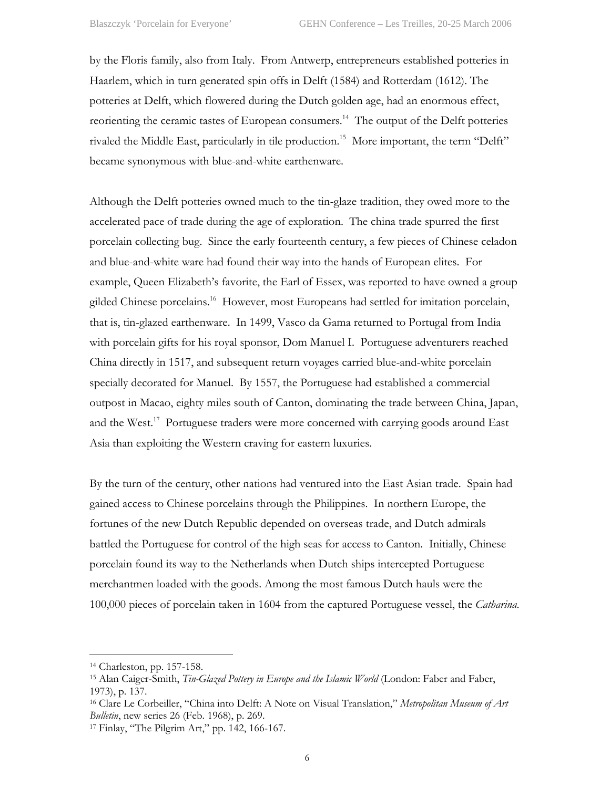by the Floris family, also from Italy. From Antwerp, entrepreneurs established potteries in Haarlem, which in turn generated spin offs in Delft (1584) and Rotterdam (1612). The potteries at Delft, which flowered during the Dutch golden age, had an enormous effect, reorienting the ceramic tastes of European consumers.<sup>14</sup> The output of the Delft potteries rivaled the Middle East, particularly in tile production.<sup>15</sup> More important, the term "Delft" became synonymous with blue-and-white earthenware.

Although the Delft potteries owned much to the tin-glaze tradition, they owed more to the accelerated pace of trade during the age of exploration. The china trade spurred the first porcelain collecting bug. Since the early fourteenth century, a few pieces of Chinese celadon and blue-and-white ware had found their way into the hands of European elites. For example, Queen Elizabeth's favorite, the Earl of Essex, was reported to have owned a group gilded Chinese porcelains.<sup>16</sup> However, most Europeans had settled for imitation porcelain, that is, tin-glazed earthenware. In 1499, Vasco da Gama returned to Portugal from India with porcelain gifts for his royal sponsor, Dom Manuel I. Portuguese adventurers reached China directly in 1517, and subsequent return voyages carried blue-and-white porcelain specially decorated for Manuel. By 1557, the Portuguese had established a commercial outpost in Macao, eighty miles south of Canton, dominating the trade between China, Japan, and the West.<sup>17</sup> Portuguese traders were more concerned with carrying goods around East Asia than exploiting the Western craving for eastern luxuries.

By the turn of the century, other nations had ventured into the East Asian trade. Spain had gained access to Chinese porcelains through the Philippines. In northern Europe, the fortunes of the new Dutch Republic depended on overseas trade, and Dutch admirals battled the Portuguese for control of the high seas for access to Canton. Initially, Chinese porcelain found its way to the Netherlands when Dutch ships intercepted Portuguese merchantmen loaded with the goods. Among the most famous Dutch hauls were the 100,000 pieces of porcelain taken in 1604 from the captured Portuguese vessel, the *Catharina*.

1

<span id="page-5-0"></span><sup>14</sup> Charleston, pp. 157-158.

<span id="page-5-1"></span><sup>15</sup> Alan Caiger-Smith, *Tin-Glazed Pottery in Europe and the Islamic World* (London: Faber and Faber, 1973), p. 137.

<span id="page-5-2"></span><sup>16</sup> Clare Le Corbeiller, "China into Delft: A Note on Visual Translation," *Metropolitan Museum of Art Bulletin*, new series 26 (Feb. 1968), p. 269.

<span id="page-5-3"></span><sup>17</sup> Finlay, "The Pilgrim Art," pp. 142, 166-167.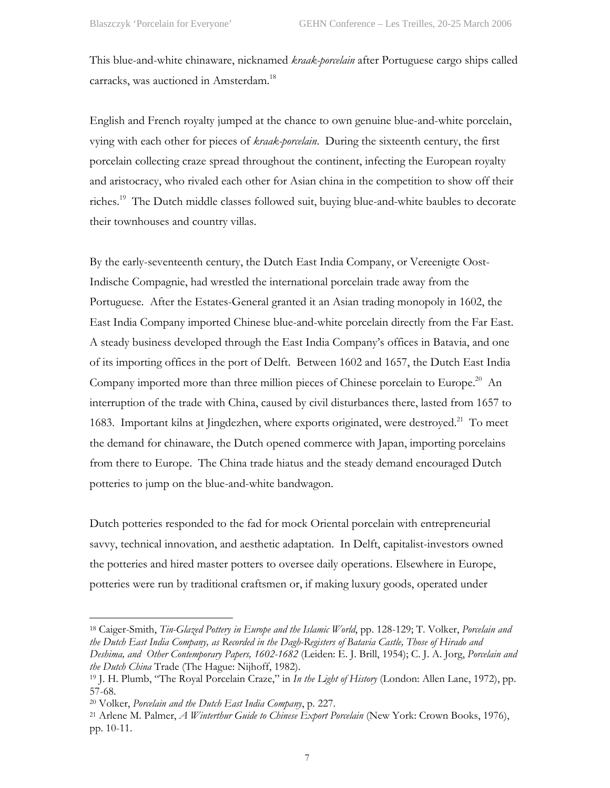This blue-and-white chinaware, nicknamed *kraak-porcelain* after Portuguese cargo ships called carracks, was auctioned in Amsterdam.<sup>18</sup>

English and French royalty jumped at the chance to own genuine blue-and-white porcelain, vying with each other for pieces of *kraak-porcelain*. During the sixteenth century, the first porcelain collecting craze spread throughout the continent, infecting the European royalty and aristocracy, who rivaled each other for Asian china in the competition to show off their riches.[19](#page-6-1) The Dutch middle classes followed suit, buying blue-and-white baubles to decorate their townhouses and country villas.

By the early-seventeenth century, the Dutch East India Company, or Vereenigte Oost-Indische Compagnie, had wrestled the international porcelain trade away from the Portuguese. After the Estates-General granted it an Asian trading monopoly in 1602, the East India Company imported Chinese blue-and-white porcelain directly from the Far East. A steady business developed through the East India Company's offices in Batavia, and one of its importing offices in the port of Delft. Between 1602 and 1657, the Dutch East India Company imported more than three million pieces of Chinese porcelain to Europe.<sup>20</sup> An interruption of the trade with China, caused by civil disturbances there, lasted from 1657 to 1683. Important kilns at Jingdezhen, where exports originated, were destroyed.<sup>21</sup> To meet the demand for chinaware, the Dutch opened commerce with Japan, importing porcelains from there to Europe. The China trade hiatus and the steady demand encouraged Dutch potteries to jump on the blue-and-white bandwagon.

Dutch potteries responded to the fad for mock Oriental porcelain with entrepreneurial savvy, technical innovation, and aesthetic adaptation. In Delft, capitalist-investors owned the potteries and hired master potters to oversee daily operations. Elsewhere in Europe, potteries were run by traditional craftsmen or, if making luxury goods, operated under

<span id="page-6-0"></span>18 Caiger-Smith, *Tin-Glazed Pottery in Europe and the Islamic World*, pp. 128-129; T. Volker, *Porcelain and the Dutch East India Company, as Recorded in the Dagh-Registers of Batavia Castle, Those of Hirado and Deshima, and Other Contemporary Papers, 1602-1682* (Leiden: E. J. Brill, 1954); C. J. A. Jorg, *Porcelain and the Dutch China* Trade (The Hague: Nijhoff, 1982).

<span id="page-6-1"></span><sup>19</sup> J. H. Plumb, "The Royal Porcelain Craze," in *In the Light of History* (London: Allen Lane, 1972), pp. 57-68.

<span id="page-6-3"></span>

<span id="page-6-2"></span><sup>20</sup> Volker, *Porcelain and the Dutch East India Company*, p. 227. 21 Arlene M. Palmer, *A Winterthur Guide to Chinese Export Porcelain* (New York: Crown Books, 1976), pp. 10-11.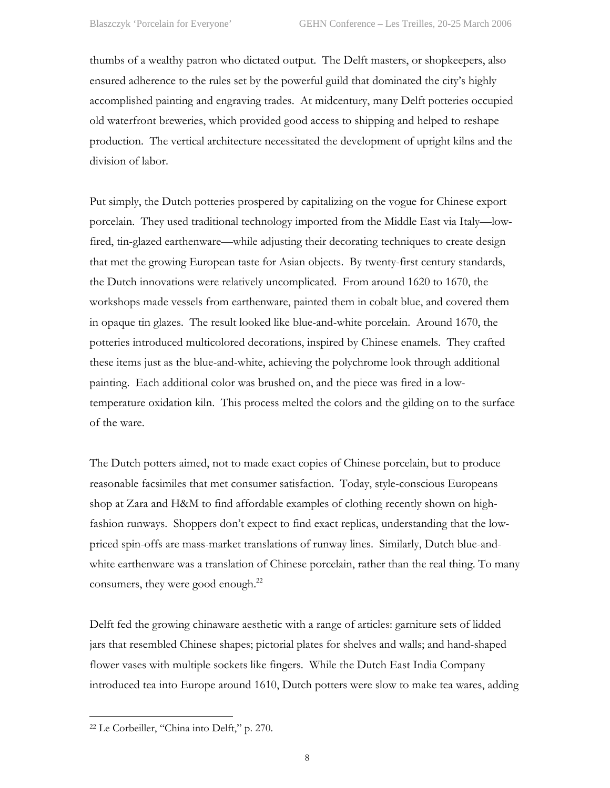thumbs of a wealthy patron who dictated output. The Delft masters, or shopkeepers, also ensured adherence to the rules set by the powerful guild that dominated the city's highly accomplished painting and engraving trades. At midcentury, many Delft potteries occupied old waterfront breweries, which provided good access to shipping and helped to reshape production. The vertical architecture necessitated the development of upright kilns and the division of labor.

Put simply, the Dutch potteries prospered by capitalizing on the vogue for Chinese export porcelain. They used traditional technology imported from the Middle East via Italy—lowfired, tin-glazed earthenware—while adjusting their decorating techniques to create design that met the growing European taste for Asian objects. By twenty-first century standards, the Dutch innovations were relatively uncomplicated. From around 1620 to 1670, the workshops made vessels from earthenware, painted them in cobalt blue, and covered them in opaque tin glazes. The result looked like blue-and-white porcelain. Around 1670, the potteries introduced multicolored decorations, inspired by Chinese enamels. They crafted these items just as the blue-and-white, achieving the polychrome look through additional painting. Each additional color was brushed on, and the piece was fired in a lowtemperature oxidation kiln. This process melted the colors and the gilding on to the surface of the ware.

The Dutch potters aimed, not to made exact copies of Chinese porcelain, but to produce reasonable facsimiles that met consumer satisfaction. Today, style-conscious Europeans shop at Zara and H&M to find affordable examples of clothing recently shown on highfashion runways. Shoppers don't expect to find exact replicas, understanding that the lowpriced spin-offs are mass-market translations of runway lines. Similarly, Dutch blue-andwhite earthenware was a translation of Chinese porcelain, rather than the real thing. To many consumers, they were good enough.<sup>22</sup>

Delft fed the growing chinaware aesthetic with a range of articles: garniture sets of lidded jars that resembled Chinese shapes; pictorial plates for shelves and walls; and hand-shaped flower vases with multiple sockets like fingers. While the Dutch East India Company introduced tea into Europe around 1610, Dutch potters were slow to make tea wares, adding

<span id="page-7-0"></span><sup>22</sup> Le Corbeiller, "China into Delft," p. 270.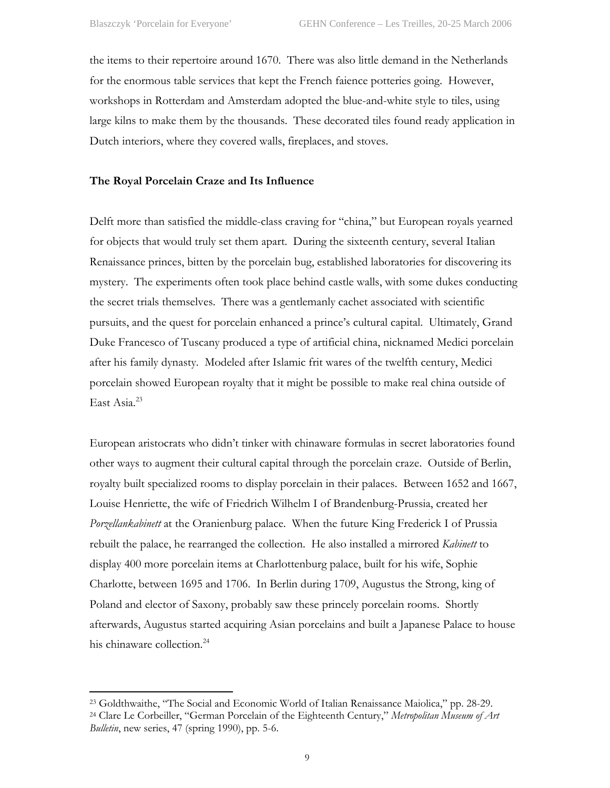the items to their repertoire around 1670. There was also little demand in the Netherlands for the enormous table services that kept the French faience potteries going. However, workshops in Rotterdam and Amsterdam adopted the blue-and-white style to tiles, using large kilns to make them by the thousands. These decorated tiles found ready application in Dutch interiors, where they covered walls, fireplaces, and stoves.

### **The Royal Porcelain Craze and Its Influence**

Delft more than satisfied the middle-class craving for "china," but European royals yearned for objects that would truly set them apart. During the sixteenth century, several Italian Renaissance princes, bitten by the porcelain bug, established laboratories for discovering its mystery. The experiments often took place behind castle walls, with some dukes conducting the secret trials themselves. There was a gentlemanly cachet associated with scientific pursuits, and the quest for porcelain enhanced a prince's cultural capital. Ultimately, Grand Duke Francesco of Tuscany produced a type of artificial china, nicknamed Medici porcelain after his family dynasty. Modeled after Islamic frit wares of the twelfth century, Medici porcelain showed European royalty that it might be possible to make real china outside of East Asia.<sup>[23](#page-8-0)</sup>

European aristocrats who didn't tinker with chinaware formulas in secret laboratories found other ways to augment their cultural capital through the porcelain craze. Outside of Berlin, royalty built specialized rooms to display porcelain in their palaces. Between 1652 and 1667, Louise Henriette, the wife of Friedrich Wilhelm I of Brandenburg-Prussia, created her *Porzellankabinett* at the Oranienburg palace. When the future King Frederick I of Prussia rebuilt the palace, he rearranged the collection. He also installed a mirrored *Kabinett* to display 400 more porcelain items at Charlottenburg palace, built for his wife, Sophie Charlotte, between 1695 and 1706. In Berlin during 1709, Augustus the Strong, king of Poland and elector of Saxony, probably saw these princely porcelain rooms. Shortly afterwards, Augustus started acquiring Asian porcelains and built a Japanese Palace to house his chinaware collection.<sup>[24](#page-8-1)</sup>

<span id="page-8-1"></span><span id="page-8-0"></span><sup>23</sup> Goldthwaithe, "The Social and Economic World of Italian Renaissance Maiolica," pp. 28-29. 24 Clare Le Corbeiller, "German Porcelain of the Eighteenth Century," *Metropolitan Museum of Art* 

*Bulletin*, new series, 47 (spring 1990), pp. 5-6.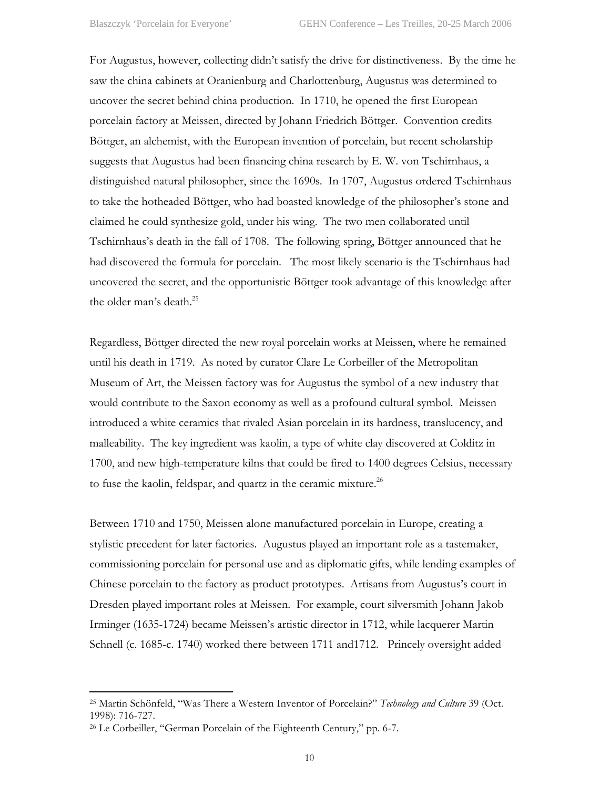For Augustus, however, collecting didn't satisfy the drive for distinctiveness. By the time he saw the china cabinets at Oranienburg and Charlottenburg, Augustus was determined to uncover the secret behind china production. In 1710, he opened the first European porcelain factory at Meissen, directed by Johann Friedrich Böttger. Convention credits Böttger, an alchemist, with the European invention of porcelain, but recent scholarship suggests that Augustus had been financing china research by E. W. von Tschirnhaus, a distinguished natural philosopher, since the 1690s. In 1707, Augustus ordered Tschirnhaus to take the hotheaded Böttger, who had boasted knowledge of the philosopher's stone and claimed he could synthesize gold, under his wing. The two men collaborated until Tschirnhaus's death in the fall of 1708. The following spring, Böttger announced that he had discovered the formula for porcelain. The most likely scenario is the Tschirnhaus had uncovered the secret, and the opportunistic Böttger took advantage of this knowledge after the older man's death.<sup>25</sup>

Regardless, Böttger directed the new royal porcelain works at Meissen, where he remained until his death in 1719. As noted by curator Clare Le Corbeiller of the Metropolitan Museum of Art, the Meissen factory was for Augustus the symbol of a new industry that would contribute to the Saxon economy as well as a profound cultural symbol. Meissen introduced a white ceramics that rivaled Asian porcelain in its hardness, translucency, and malleability. The key ingredient was kaolin, a type of white clay discovered at Colditz in 1700, and new high-temperature kilns that could be fired to 1400 degrees Celsius, necessary to fuse the kaolin, feldspar, and quartz in the ceramic mixture.<sup>26</sup>

Between 1710 and 1750, Meissen alone manufactured porcelain in Europe, creating a stylistic precedent for later factories. Augustus played an important role as a tastemaker, commissioning porcelain for personal use and as diplomatic gifts, while lending examples of Chinese porcelain to the factory as product prototypes. Artisans from Augustus's court in Dresden played important roles at Meissen. For example, court silversmith Johann Jakob Irminger (1635-1724) became Meissen's artistic director in 1712, while lacquerer Martin Schnell (c. 1685-c. 1740) worked there between 1711 and1712. Princely oversight added

<span id="page-9-0"></span><sup>25</sup> Martin Schönfeld, "Was There a Western Inventor of Porcelain?" *Technology and Culture* 39 (Oct. 1998): 716-727.

<span id="page-9-1"></span><sup>26</sup> Le Corbeiller, "German Porcelain of the Eighteenth Century," pp. 6-7.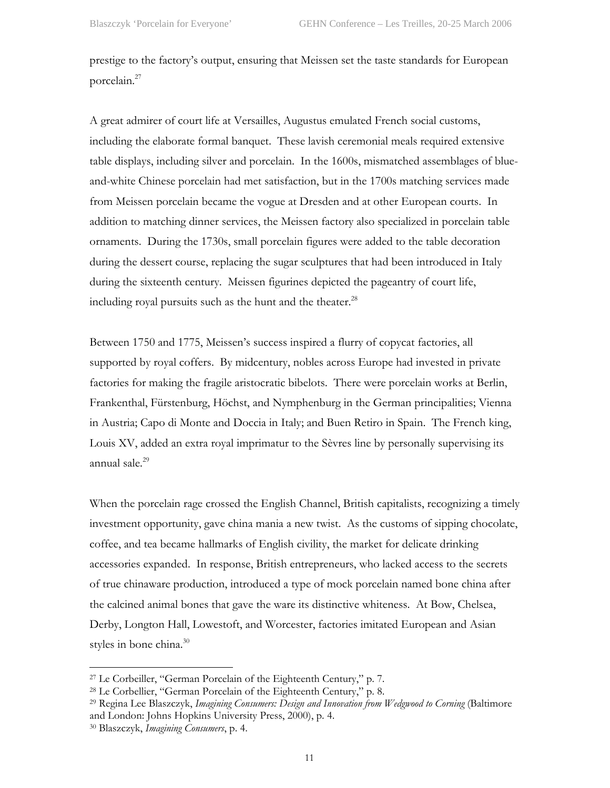prestige to the factory's output, ensuring that Meissen set the taste standards for European porcelain.[27](#page-10-0)

A great admirer of court life at Versailles, Augustus emulated French social customs, including the elaborate formal banquet. These lavish ceremonial meals required extensive table displays, including silver and porcelain. In the 1600s, mismatched assemblages of blueand-white Chinese porcelain had met satisfaction, but in the 1700s matching services made from Meissen porcelain became the vogue at Dresden and at other European courts. In addition to matching dinner services, the Meissen factory also specialized in porcelain table ornaments. During the 1730s, small porcelain figures were added to the table decoration during the dessert course, replacing the sugar sculptures that had been introduced in Italy during the sixteenth century. Meissen figurines depicted the pageantry of court life, including royal pursuits such as the hunt and the theater. $^{28}$ 

Between 1750 and 1775, Meissen's success inspired a flurry of copycat factories, all supported by royal coffers. By midcentury, nobles across Europe had invested in private factories for making the fragile aristocratic bibelots. There were porcelain works at Berlin, Frankenthal, Fürstenburg, Höchst, and Nymphenburg in the German principalities; Vienna in Austria; Capo di Monte and Doccia in Italy; and Buen Retiro in Spain. The French king, Louis XV, added an extra royal imprimatur to the Sèvres line by personally supervising its annual sale[.29](#page-10-2) 

When the porcelain rage crossed the English Channel, British capitalists, recognizing a timely investment opportunity, gave china mania a new twist. As the customs of sipping chocolate, coffee, and tea became hallmarks of English civility, the market for delicate drinking accessories expanded. In response, British entrepreneurs, who lacked access to the secrets of true chinaware production, introduced a type of mock porcelain named bone china after the calcined animal bones that gave the ware its distinctive whiteness. At Bow, Chelsea, Derby, Longton Hall, Lowestoft, and Worcester, factories imitated European and Asian styles in bone china. $30$ 

<span id="page-10-0"></span><sup>27</sup> Le Corbeiller, "German Porcelain of the Eighteenth Century," p. 7.

<span id="page-10-1"></span><sup>28</sup> Le Corbellier, "German Porcelain of the Eighteenth Century," p. 8.

<span id="page-10-2"></span><sup>29</sup> Regina Lee Blaszczyk, *Imagining Consumers: Design and Innovation from Wedgwood to Corning* (Baltimore and London: Johns Hopkins University Press, 2000), p. 4.

<span id="page-10-3"></span><sup>30</sup> Blaszczyk, *Imagining Consumers*, p. 4.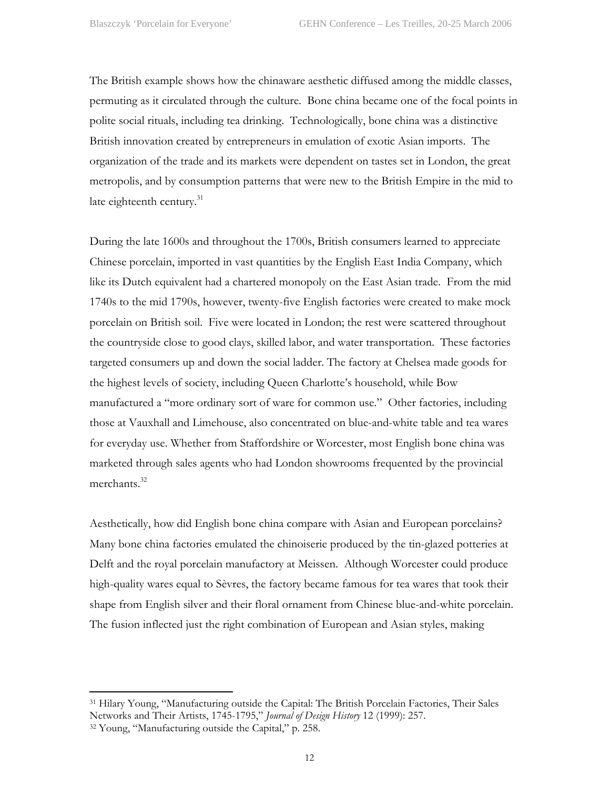The British example shows how the chinaware aesthetic diffused among the middle classes, permuting as it circulated through the culture. Bone china became one of the focal points in polite social rituals, including tea drinking. Technologically, bone china was a distinctive British innovation created by entrepreneurs in emulation of exotic Asian imports. The organization of the trade and its markets were dependent on tastes set in London, the great metropolis, and by consumption patterns that were new to the British Empire in the mid to late eighteenth century.<sup>31</sup>

During the late 1600s and throughout the 1700s, British consumers learned to appreciate Chinese porcelain, imported in vast quantities by the English East India Company, which like its Dutch equivalent had a chartered monopoly on the East Asian trade. From the mid 1740s to the mid 1790s, however, twenty-five English factories were created to make mock porcelain on British soil. Five were located in London; the rest were scattered throughout the countryside close to good clays, skilled labor, and water transportation. These factories targeted consumers up and down the social ladder. The factory at Chelsea made goods for the highest levels of society, including Queen Charlotte's household, while Bow manufactured a "more ordinary sort of ware for common use." Other factories, including those at Vauxhall and Limehouse, also concentrated on blue-and-white table and tea wares for everyday use. Whether from Staffordshire or Worcester, most English bone china was marketed through sales agents who had London showrooms frequented by the provincial merchants.<sup>32</sup>

Aesthetically, how did English bone china compare with Asian and European porcelains? Many bone china factories emulated the chinoiserie produced by the tin-glazed potteries at Delft and the royal porcelain manufactory at Meissen. Although Worcester could produce high-quality wares equal to Sèvres, the factory became famous for tea wares that took their shape from English silver and their floral ornament from Chinese blue-and-white porcelain. The fusion inflected just the right combination of European and Asian styles, making

<span id="page-11-0"></span><sup>31</sup> Hilary Young, "Manufacturing outside the Capital: The British Porcelain Factories, Their Sales Networks and Their Artists, 1745-1795," *Journal of Design History* 12 (1999): 257.

<span id="page-11-1"></span><sup>32</sup> Young, "Manufacturing outside the Capital," p. 258.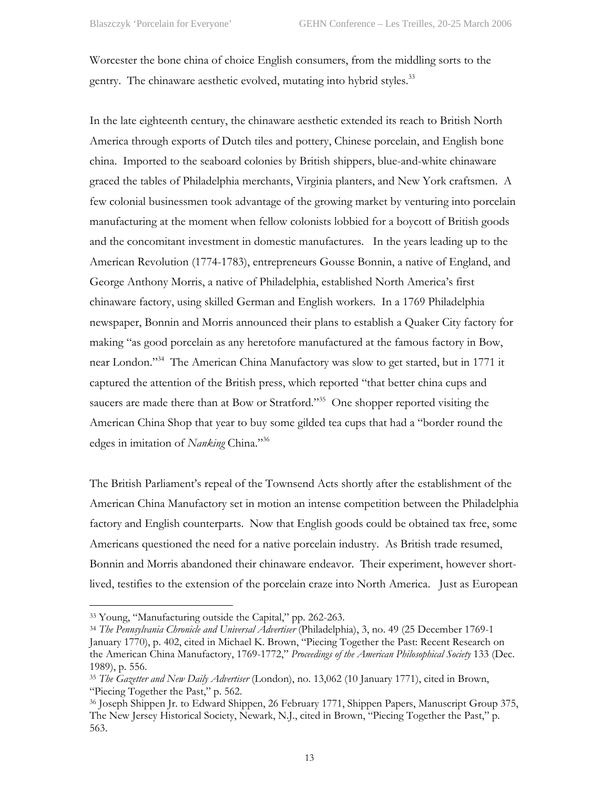Worcester the bone china of choice English consumers, from the middling sorts to the gentry. The chinaware aesthetic evolved, mutating into hybrid styles.<sup>33</sup>

In the late eighteenth century, the chinaware aesthetic extended its reach to British North America through exports of Dutch tiles and pottery, Chinese porcelain, and English bone china. Imported to the seaboard colonies by British shippers, blue-and-white chinaware graced the tables of Philadelphia merchants, Virginia planters, and New York craftsmen. A few colonial businessmen took advantage of the growing market by venturing into porcelain manufacturing at the moment when fellow colonists lobbied for a boycott of British goods and the concomitant investment in domestic manufactures. In the years leading up to the American Revolution (1774-1783), entrepreneurs Gousse Bonnin, a native of England, and George Anthony Morris, a native of Philadelphia, established North America's first chinaware factory, using skilled German and English workers. In a 1769 Philadelphia newspaper, Bonnin and Morris announced their plans to establish a Quaker City factory for making "as good porcelain as any heretofore manufactured at the famous factory in Bow, near London."<sup>34</sup> The American China Manufactory was slow to get started, but in 1771 it captured the attention of the British press, which reported "that better china cups and saucers are made there than at Bow or Stratford."<sup>35</sup> One shopper reported visiting the American China Shop that year to buy some gilded tea cups that had a "border round the edges in imitation of *Nanking* China."[36](#page-12-3) 

The British Parliament's repeal of the Townsend Acts shortly after the establishment of the American China Manufactory set in motion an intense competition between the Philadelphia factory and English counterparts. Now that English goods could be obtained tax free, some Americans questioned the need for a native porcelain industry. As British trade resumed, Bonnin and Morris abandoned their chinaware endeavor. Their experiment, however shortlived, testifies to the extension of the porcelain craze into North America. Just as European

1

<span id="page-12-0"></span><sup>33</sup> Young, "Manufacturing outside the Capital," pp. 262-263.

<span id="page-12-1"></span><sup>34</sup> *The Pennsylvania Chronicle and Universal Advertiser* (Philadelphia), 3, no. 49 (25 December 1769-1 January 1770), p. 402, cited in Michael K. Brown, "Piecing Together the Past: Recent Research on the American China Manufactory, 1769-1772," *Proceedings of the American Philosophical Society* 133 (Dec. 1989), p. 556.

<span id="page-12-2"></span><sup>35</sup> *The Gazetter and New Daily Advertiser* (London), no. 13,062 (10 January 1771), cited in Brown, "Piecing Together the Past," p. 562.

<span id="page-12-3"></span><sup>36</sup> Joseph Shippen Jr. to Edward Shippen, 26 February 1771, Shippen Papers, Manuscript Group 375, The New Jersey Historical Society, Newark, N.J., cited in Brown, "Piecing Together the Past," p. 563.